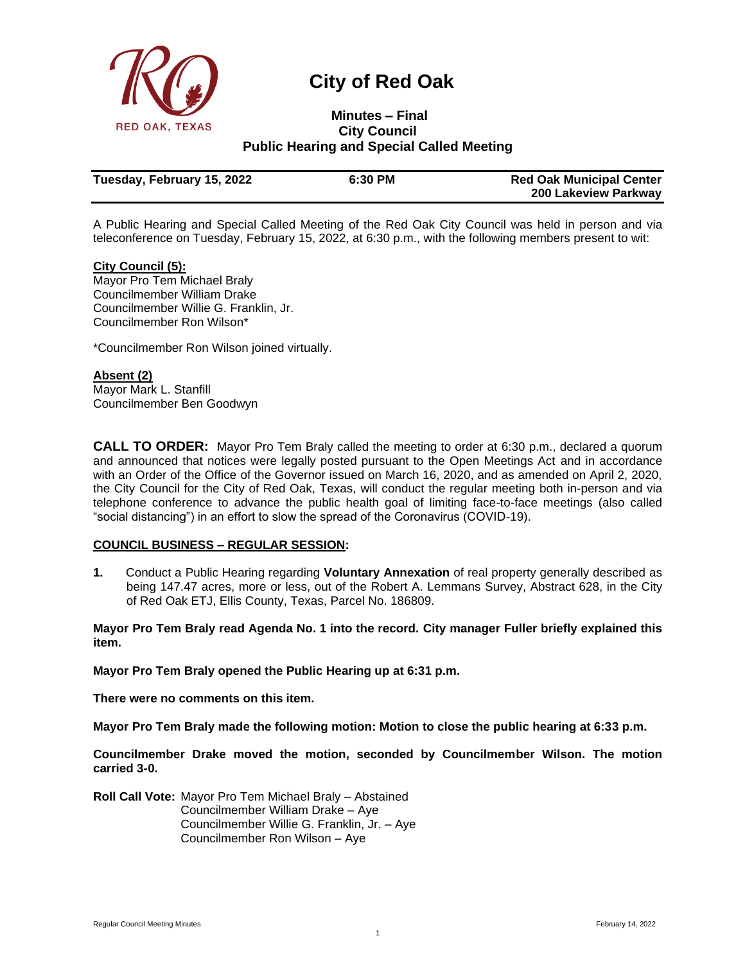

# **City of Red Oak**

# **Minutes – Final**<br>**RED OAK, TEXAS City Council City Council Public Hearing and Special Called Meeting**

| Tuesday, February 15, 2022 | 6:30 PM | <b>Red Oak Municipal Center</b> |
|----------------------------|---------|---------------------------------|
|                            |         | 200 Lakeview Parkway            |

A Public Hearing and Special Called Meeting of the Red Oak City Council was held in person and via teleconference on Tuesday, February 15, 2022, at 6:30 p.m., with the following members present to wit:

#### **City Council (5):**

Mayor Pro Tem Michael Braly Councilmember William Drake Councilmember Willie G. Franklin, Jr. Councilmember Ron Wilson\*

\*Councilmember Ron Wilson joined virtually.

#### **Absent (2)** Mayor Mark L. Stanfill Councilmember Ben Goodwyn

**CALL TO ORDER:** Mayor Pro Tem Braly called the meeting to order at 6:30 p.m., declared a quorum and announced that notices were legally posted pursuant to the Open Meetings Act and in accordance with an Order of the Office of the Governor issued on March 16, 2020, and as amended on April 2, 2020, the City Council for the City of Red Oak, Texas, will conduct the regular meeting both in-person and via telephone conference to advance the public health goal of limiting face-to-face meetings (also called "social distancing") in an effort to slow the spread of the Coronavirus (COVID-19).

## **COUNCIL BUSINESS – REGULAR SESSION:**

**1.** Conduct a Public Hearing regarding **Voluntary Annexation** of real property generally described as being 147.47 acres, more or less, out of the Robert A. Lemmans Survey, Abstract 628, in the City of Red Oak ETJ, Ellis County, Texas, Parcel No. 186809.

**Mayor Pro Tem Braly read Agenda No. 1 into the record. City manager Fuller briefly explained this item.** 

**Mayor Pro Tem Braly opened the Public Hearing up at 6:31 p.m.**

**There were no comments on this item.**

**Mayor Pro Tem Braly made the following motion: Motion to close the public hearing at 6:33 p.m.**

**Councilmember Drake moved the motion, seconded by Councilmember Wilson. The motion carried 3-0.**

**Roll Call Vote:** Mayor Pro Tem Michael Braly – Abstained Councilmember William Drake – Aye Councilmember Willie G. Franklin, Jr. – Aye Councilmember Ron Wilson – Aye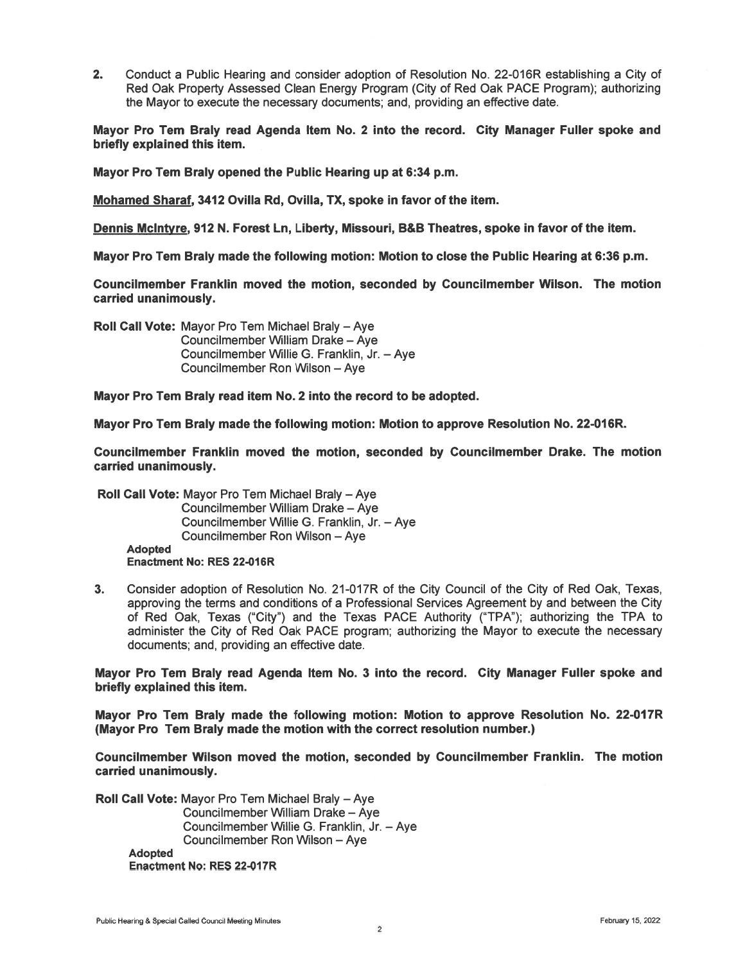$2.$ Conduct a Public Hearing and consider adoption of Resolution No. 22-016R establishing a City of Red Oak Property Assessed Clean Energy Program (City of Red Oak PACE Program); authorizing the Mayor to execute the necessary documents; and, providing an effective date.

Mayor Pro Tem Braly read Agenda Item No. 2 into the record. City Manager Fuller spoke and briefly explained this item.

Mayor Pro Tem Braly opened the Public Hearing up at 6:34 p.m.

Mohamed Sharaf, 3412 Ovilla Rd, Ovilla, TX, spoke in favor of the item.

Dennis McIntyre, 912 N. Forest Ln, Liberty, Missouri, B&B Theatres, spoke in favor of the item.

Mayor Pro Tem Braly made the following motion: Motion to close the Public Hearing at 6:36 p.m.

Councilmember Franklin moved the motion, seconded by Councilmember Wilson. The motion carried unanimously.

Roll Call Vote: Mayor Pro Tem Michael Braly - Aye Councilmember William Drake - Ave Councilmember Willie G. Franklin, Jr. - Aye Councilmember Ron Wilson - Aye

Mayor Pro Tem Braly read item No. 2 into the record to be adopted.

Mayor Pro Tem Braly made the following motion: Motion to approve Resolution No. 22-016R.

Councilmember Franklin moved the motion, seconded by Councilmember Drake. The motion carried unanimously.

Roll Call Vote: Mayor Pro Tem Michael Braly - Aye Councilmember William Drake - Aye Councilmember Willie G. Franklin, Jr. - Aye Councilmember Ron Wilson - Aye **Adopted Enactment No: RES 22-016R** 

Consider adoption of Resolution No. 21-017R of the City Council of the City of Red Oak, Texas,  $3<sub>1</sub>$ approving the terms and conditions of a Professional Services Agreement by and between the City of Red Oak, Texas ("City") and the Texas PACE Authority ("TPA"); authorizing the TPA to administer the City of Red Oak PACE program; authorizing the Mayor to execute the necessary documents; and, providing an effective date.

Mayor Pro Tem Braly read Agenda Item No. 3 into the record. City Manager Fuller spoke and briefly explained this item.

Mayor Pro Tem Braly made the following motion: Motion to approve Resolution No. 22-017R (Mayor Pro Tem Braly made the motion with the correct resolution number.)

Councilmember Wilson moved the motion, seconded by Councilmember Franklin. The motion carried unanimously.

Roll Call Vote: Mayor Pro Tem Michael Braly - Aye Councilmember William Drake - Aye Councilmember Willie G. Franklin, Jr. - Aye Councilmember Ron Wilson - Aye **Adopted Enactment No: RES 22-017R**